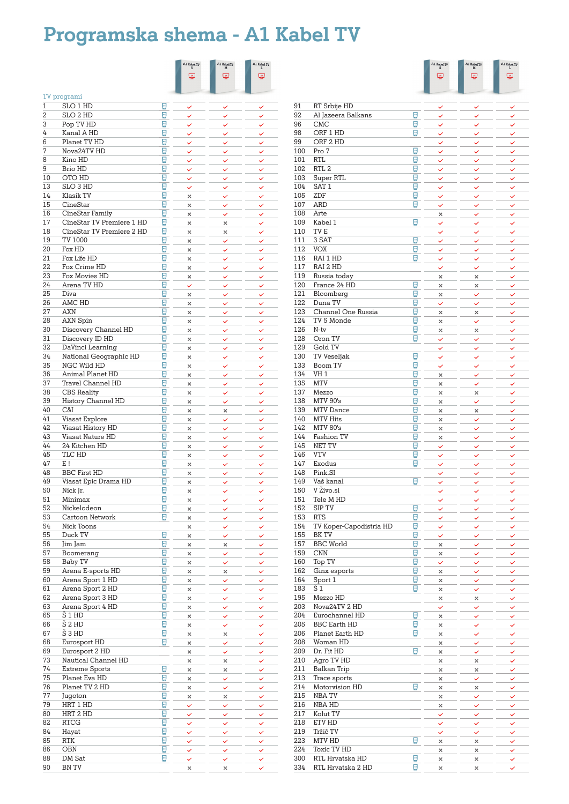# **Programska shema - A1 Kabel TV**

|          |                                 |                                 | $\begin{array}{c}\mathtt{A1}\,\text{Kabel}\,\texttt{TV}\\ \mathtt{S}\end{array}$ | A1 Kabel TV $_{\rm M}$ | A1 Kabel TV  |
|----------|---------------------------------|---------------------------------|----------------------------------------------------------------------------------|------------------------|--------------|
|          |                                 |                                 | ⋓                                                                                | φ                      | ç            |
|          |                                 |                                 |                                                                                  |                        |              |
|          | TV programi                     |                                 |                                                                                  |                        |              |
| 1        | SLO 1 HD                        | $\circ$                         |                                                                                  |                        |              |
| 2        | SLO 2 HD                        | $\overline{\mathbb{C}}$         | $\checkmark$                                                                     |                        | ✓            |
| 3        | Pop TV HD                       | $\mathbb{R}^2$                  | ✓                                                                                | ✓                      | ✓            |
| 4        | Kanal A HD                      | $\frac{1}{2}$                   | $\checkmark$                                                                     |                        |              |
| 6        | Planet TV HD                    | $\bullet$                       | ✓                                                                                |                        |              |
| 7        | Nova24TV HD                     | $\overline{\mathbb{R}}$         | ✓                                                                                |                        |              |
| 8        | Kino HD                         | ⊡                               | ✓                                                                                | ✓                      | ✓            |
| 9        | <b>Brio HD</b>                  | g                               | ✓                                                                                | ✓                      | $\checkmark$ |
| 10<br>13 | OTO HD<br>SLO 3 HD              | ⊡<br>Ø                          | ✓                                                                                | ✓                      | ✓            |
| 14       | Klasik TV                       | ⊡                               | ✓<br>$\times$                                                                    |                        |              |
| 15       | CineStar                        | 0                               | $\times$                                                                         | ✓                      | ✓            |
| 16       | CineStar Family                 | ⊡                               | ×                                                                                | ✓                      | ✓            |
| 17       | CineStar TV Premiere 1 HD       | ⊡                               | ×                                                                                | ×                      |              |
| 18       | CineStar TV Premiere 2 HD       | ⊡                               | ×                                                                                | $\times$               | ✓            |
| 19       | TV 1000                         | Ξ                               | ×                                                                                | ✓                      | ✓            |
| 20       | Fox HD                          | ⊡                               | ×                                                                                | ✓                      | ✓            |
| 21       | Fox Life HD                     | ⊡                               | ×                                                                                | ✓                      | $\checkmark$ |
| 22       | Fox Crime HD                    | ⊡                               | ×                                                                                | ✓                      | ✓            |
| 23       | Fox Movies HD                   | $\overline{\mathbb{R}}$         | ×                                                                                | ✓                      | ✓            |
| 24       | Arena TV HD                     | $\Box$                          | ✓                                                                                | ✓                      | ✓            |
| 25       | Diva                            | $\overline{\mathbb{C}}$         | ×                                                                                | ✓                      |              |
| 26       | AMC HD                          | $\overline{\mathbb{C}}$         | ×                                                                                | ✓                      | ✓            |
| 27       | <b>AXN</b>                      | $\bullet$                       | $\times$                                                                         | ✓                      | ✓            |
| 28       | AXN Spin                        | $\overline{c}$                  | ×                                                                                | ✓                      | ✓            |
| 30       | Discovery Channel HD            | g                               | ×                                                                                | ✓                      | ✓            |
| 31       | Discovery ID HD                 | $\bullet$                       | ×                                                                                |                        | ✓            |
| 32       | DaVinci Learning                | $\bullet$                       | ×                                                                                | ✓                      | ✓            |
| 34       | National Geographic HD          | ø<br>ø                          | ×                                                                                |                        |              |
| 35<br>36 | NGC Wild HD<br>Animal Planet HD | ⊡                               | ×                                                                                | ✓                      | ✓            |
| 37       | <b>Travel Channel HD</b>        | ⊡                               | ×<br>×                                                                           | ✓<br>✓                 | ✓            |
| 38       | CBS Reality                     | Ø                               | $\times$                                                                         | ✓                      | $\checkmark$ |
| 39       | History Channel HD              | ⊡                               | ×                                                                                | ✓                      | ✓            |
| 40       | C&I                             | 0                               | ×                                                                                | ×                      | ✓            |
| 41       | Viasat Explore                  | ⊡                               | $\times$                                                                         | $\checkmark$           |              |
| 42       | Viasat History HD               | 0                               | ×                                                                                | ✓                      | ✓            |
| 43       | <b>Viasat Nature HD</b>         | ⊡                               | ×                                                                                | $\checkmark$           |              |
| 44       | 24 Kitchen HD                   | ø                               | ×                                                                                | ✓                      |              |
| 45       | TLC HD                          | ⊡                               | ×                                                                                | ✓                      |              |
| 47       | E!                              | ⊡                               | ×                                                                                | ✓                      | ✓            |
| 48       | <b>BBC First HD</b>             | ⊡                               | ×                                                                                | ✓                      | ✓            |
| 49       | Viasat Epic Drama HD            | ⊡                               | ×                                                                                | ✓                      | ✓            |
| 50       | Nick Jr.                        | $\bullet$                       | ×                                                                                | ✓                      | ✓            |
| 51       | Minimax                         | $\overline{c}$                  | ×                                                                                | ✓                      | ✓            |
| 52       | Nickelodeon                     | $\frac{1}{2}$                   | ×                                                                                |                        |              |
| 53       | Cartoon Network                 | $\frac{1}{2}$                   | ×                                                                                | ✓                      | ✓            |
| 54       | Nick Toons                      | $\circ$                         | ×                                                                                | ✓                      | ✓            |
| 55<br>56 | Duck TV<br>Jim Jam              | $\frac{1}{2}$                   | ×<br>×                                                                           | ✓                      | ✓            |
| 57       | Boomerang                       | $\overline{c}$                  | ×                                                                                | ×<br>✓                 | ✓<br>✓       |
| 58       | Baby TV                         | $\overline{a}$                  | ×                                                                                | ✓                      | ✓            |
| 59       | Arena E-sports HD               | ø                               | ×                                                                                | ×                      | ✓            |
| 60       | Arena Sport 1 HD                | ø                               | ×                                                                                | $\checkmark$           | ✓            |
| 61       | Arena Sport 2 HD                | ø                               | ×                                                                                | ✓                      | ✓            |
| 62       | Arena Sport 3 HD                | ø                               | ×                                                                                | ✓                      | ✓            |
| 63       | Arena Sport 4 HD                | ø                               | ×                                                                                | ✓                      | ✓            |
| 65       | Š1HD                            | ø                               | ×                                                                                | ✓                      | $\checkmark$ |
| 66       | Š 2 HD                          | ø                               | ×                                                                                | $\checkmark$           | ✓            |
| 67       | Š3HD                            | ø                               | ×                                                                                | ×                      | ✓            |
| 68       | Eurosport HD                    | ø                               | ×                                                                                | ✓                      | ✓            |
| 69       | Eurosport 2 HD                  |                                 | ×                                                                                | ✓                      | ✓            |
| 73       | Nautical Channel HD             |                                 | ×                                                                                | ×                      | ✓            |
| 74       | <b>Extreme Sports</b>           | $\overline{\mathbb{C}}$         | ×                                                                                | ×                      |              |
| 75       | Planet Eva HD                   | $\overline{\phantom{a}}$        | $\times$                                                                         | ✓                      | ✓            |
| 76       | Planet TV 2 HD                  | $\overline{\mathbf{r}}$         | ×                                                                                | ✓                      | ✓            |
| 77<br>79 | Jugoton<br>HRT 1 HD             | $\overline{c}$<br>$\frac{1}{2}$ | ×                                                                                | ×                      | ✓            |
| 80       | HRT 2 HD                        | $\frac{1}{2}$                   | ✓                                                                                | ✓                      | ✓            |
| 82       | RTCG                            | $\frac{1}{2}$                   | ✓<br>V                                                                           | ✓<br>✓                 | ✓<br>✓       |
| 84       | Hayat                           | $\overline{c}$                  | ✓                                                                                |                        | ✓            |
| 85       | <b>RTK</b>                      | $\frac{1}{2}$                   | ✓                                                                                | ✓                      |              |
| 86       | OBN                             | $\ddot{\phantom{a}}$            | ✓                                                                                | ✓                      |              |
| 88       | DM Sat                          | $\overline{c}$                  | ✓                                                                                | ✓                      | ✓            |
| 90       | <b>BN TV</b>                    |                                 | $\times$                                                                         | ×                      | ✓            |

|            |                                       |                                                      | A1 Kabel TV          | A1 Kabel TV       | A1 Kabel TV $_{\rm L}$ |
|------------|---------------------------------------|------------------------------------------------------|----------------------|-------------------|------------------------|
|            |                                       |                                                      | 粵                    | φ                 | φ                      |
|            |                                       |                                                      |                      |                   |                        |
| 91         | RT Srbije HD                          |                                                      | ✓                    |                   | ✓                      |
| 92         | Al Jazeera Balkans                    | e                                                    | ✓                    | ✓                 | ✓                      |
| 96<br>98   | <b>CMC</b><br>ORF 1 HD                | $\Box$<br>ø                                          | ✓                    | ✓                 | ✓                      |
| 99         | ORF 2 HD                              |                                                      | ✓<br>✓               | ✓<br>✓            | ✓                      |
| 100        | Pro 7                                 | ø                                                    | ✓                    | ✓                 | ✓                      |
| 101        | <b>RTL</b>                            | ø                                                    | ✓                    | ✓                 | ✓                      |
| 102<br>103 | RTL <sub>2</sub><br>Super RTL         | $\overline{c}$<br>ø                                  | ✓<br>✓               | ✓<br>✓            | ✓<br>✓                 |
| 104        | SAT <sub>1</sub>                      | ⊡                                                    | ✓                    | ✓                 | ✓                      |
| 105        | ZDF                                   | ø                                                    | ✓                    | ✓                 | ✓                      |
| 107<br>108 | <b>ARD</b>                            | ø                                                    | $\checkmark$         | $\checkmark$      | $\checkmark$           |
| 109        | Arte<br>Kabel 1                       | Ð                                                    | ×<br>✓               | ✓<br>✓            | ✓<br>✓                 |
| 110        | TV <sub>E</sub>                       |                                                      | ✓                    | ✓                 | ✓                      |
| 111        | 3 SAT                                 | Đ                                                    | $\checkmark$         | ✓                 | ✓                      |
| 112<br>116 | <b>VOX</b><br>RAI 1 HD                | Ξ<br>⊡                                               | ✓                    | ✓                 | ✓                      |
| 117        | RAI 2 HD                              |                                                      | ✓<br>✓               | ✓<br>✓            | ✓<br>✓                 |
| 119        | Russia today                          |                                                      | ×                    | $\times$          | ✓                      |
| 120        | France 24 HD                          | $\Box$                                               | ×                    | ×                 | ✓                      |
| 121<br>122 | Bloomberg<br>Duna TV                  | $\overline{a}$<br>O                                  | ×<br>✓               | ✓<br>✓            | ✓<br>✓                 |
| 123        | Channel One Russia                    | $\overline{c}$                                       | ×                    | ×                 | ✓                      |
| 124        | TV 5 Monde                            | $\overline{c}$                                       | ×                    | ✓                 | ✓                      |
| 126        | N-tv                                  | ø                                                    | ×                    | ×                 | ✓                      |
| 128<br>129 | Oron TV<br>Gold TV                    | e                                                    | ✓<br>✓               | ✓<br>✓            | ✓<br>✓                 |
| 130        | <b>TV Veseljak</b>                    | $\overline{\mathcal{C}}$                             | ✓                    | ✓                 | ✓                      |
| 133        | Boom TV                               | ø                                                    | ✓                    | ✓                 | ✓                      |
| 134<br>135 | VH <sub>1</sub><br><b>MTV</b>         | ø<br>⊡                                               | ×<br>$\times$        | ✓<br>✓            | ✓<br>$\checkmark$      |
| 137        | Mezzo                                 | ø                                                    | $\times$             | ×                 | ✓                      |
| 138        | <b>MTV 90's</b>                       | ø                                                    | ×                    | ✓                 | ✓                      |
| 139        | <b>MTV</b> Dance                      | ⊡                                                    | $\times$             | $\times$          | ✓                      |
| 140<br>142 | <b>MTV Hits</b><br><b>MTV 80's</b>    | O<br>Đ                                               | $\times$<br>$\times$ | ✓<br>$\checkmark$ | ✓<br>✓                 |
| 144        | Fashion TV                            | Đ                                                    | ×                    | ✓                 | ✓                      |
| 145        | NET TV                                | Ξ                                                    | ✓                    | ✓                 | ✓                      |
| 146<br>147 | <b>VTV</b><br>Exodus                  | Ξ<br>Ξ                                               | ✓                    | ✓                 | ✓                      |
| 148        | Pink.SI                               |                                                      | ✓<br>✓               | ✓<br>✓            | ✓<br>✓                 |
| 149        | Vaš kanal                             | $\overline{a}$                                       | ✓                    | ✓                 | ✓                      |
| 150        | V Živo.si                             |                                                      | ✓                    | ✓                 | ✓                      |
| 151<br>152 | Tele M HD<br>SIP TV                   | $\overline{a}$                                       | $\checkmark$<br>✓    | $\checkmark$<br>✓ | $\checkmark$           |
| 153        | <b>RTS</b>                            | $\mathbb{C}$                                         | ✓                    | ✓                 |                        |
| 154        | TV Koper-Capodistria HD               | $\frac{1}{2}$                                        | ✓                    | ✓                 | ✓                      |
| 155<br>157 | BK TV<br><b>BBC</b> World             | $\overline{\mathcal{C}}$<br>$\overline{\mathcal{C}}$ | ✓                    | ✓                 | ✓                      |
| 159        | <b>CNN</b>                            | $\overline{c}$                                       | ×<br>×               | Ϋ<br>✓            | ✓<br>✓                 |
| 160        | Top TV                                | $\overline{\mathcal{C}}$                             | ✓                    | ✓                 | ✓                      |
| 162        | Ginx esports                          | ø                                                    | ×                    | ✓                 | ✓                      |
| 164<br>183 | Sport 1<br>Š1                         | $\overline{\mathcal{C}}$<br>Đ                        | ×<br>×               | ✓<br>✓            | ✓<br>✓                 |
| 195        | Mezzo HD                              |                                                      | ×                    | ×                 | ✓                      |
| 203        | Nova24TV 2 HD                         |                                                      | ✓                    | $\checkmark$      | ✓                      |
| 204        | Eurochannel HD<br><b>BBC</b> Earth HD | Ð<br>ø                                               | ×                    | ✓                 | ✓                      |
| 205<br>206 | Planet Earth HD                       | O                                                    | ×<br>×               | ✓<br>✓            | ✓<br>✓                 |
| 208        | Woman HD                              |                                                      | ×                    | ✓                 | ✓                      |
| 209        | Dr. Fit HD                            | $\overline{\mathbb{C}}$                              | ×                    | ✓                 | $\checkmark$           |
| 210<br>211 | Agro TV HD<br>Balkan Trip             |                                                      | ×<br>×               | ×<br>×            | ✓<br>✓                 |
| 213        | Trace sports                          |                                                      | ×                    | ✓                 | ✓                      |
| 214        | Motorvision HD                        | $\overline{a}$                                       | ×                    | ×                 | ✓                      |
| 215        | NBA TV                                |                                                      | ×                    | ✓                 | ✓                      |
| 216<br>217 | NBA HD<br>Kolut TV                    |                                                      | ×<br>✓               | ✓<br>✓            | ✓<br>✓                 |
| 218        | ETV HD                                |                                                      | ✓                    | ✓                 | ✓                      |
| 219        | Tržič TV                              |                                                      | ✓                    | ✓                 | ✓                      |
| 223        | MTV HD                                | $\frac{1}{2}$                                        | ×                    | ×                 |                        |
| 224<br>300 | Toxic TV HD<br>RTL Hrvatska HD        | $\overline{\mathcal{C}}$                             | ×<br>×               | ×<br>×            | ✓<br>✓                 |
| 334        | RTL Hrvatska 2 HD                     | $\overline{\mathcal{C}}$                             | ×                    | ×                 | ✓                      |